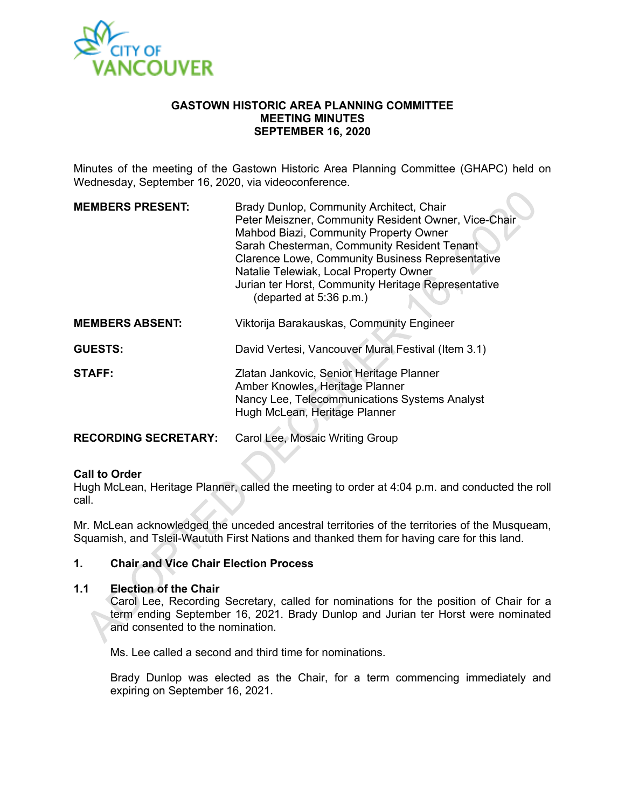

#### **GASTOWN HISTORIC AREA PLANNING COMMITTEE MEETING MINUTES SEPTEMBER 16, 2020**

Minutes of the meeting of the Gastown Historic Area Planning Committee (GHAPC) held on Wednesday, September 16, 2020, via videoconference.

| <b>MEMBERS PRESENT:</b>     | Brady Dunlop, Community Architect, Chair<br>Peter Meiszner, Community Resident Owner, Vice-Chair<br>Mahbod Biazi, Community Property Owner<br>Sarah Chesterman, Community Resident Tenant<br><b>Clarence Lowe, Community Business Representative</b><br>Natalie Telewiak, Local Property Owner<br>Jurian ter Horst, Community Heritage Representative<br>(departed at 5:36 p.m.) |
|-----------------------------|----------------------------------------------------------------------------------------------------------------------------------------------------------------------------------------------------------------------------------------------------------------------------------------------------------------------------------------------------------------------------------|
| <b>MEMBERS ABSENT:</b>      | Viktorija Barakauskas, Community Engineer                                                                                                                                                                                                                                                                                                                                        |
| <b>GUESTS:</b>              | David Vertesi, Vancouver Mural Festival (Item 3.1)                                                                                                                                                                                                                                                                                                                               |
| <b>STAFF:</b>               | Zlatan Jankovic, Senior Heritage Planner<br>Amber Knowles, Heritage Planner<br>Nancy Lee, Telecommunications Systems Analyst<br>Hugh McLean, Heritage Planner                                                                                                                                                                                                                    |
| <b>RECORDING SECRETARY:</b> | Carol Lee, Mosaic Writing Group                                                                                                                                                                                                                                                                                                                                                  |

#### **Call to Order**

Hugh McLean, Heritage Planner, called the meeting to order at 4:04 p.m. and conducted the roll call.

Mr. McLean acknowledged the unceded ancestral territories of the territories of the Musqueam, Squamish, and Tsleil-Waututh First Nations and thanked them for having care for this land.

#### **1. Chair and Vice Chair Election Process**

#### **1.1 Election of the Chair**

Carol Lee, Recording Secretary, called for nominations for the position of Chair for a term ending September 16, 2021. Brady Dunlop and Jurian ter Horst were nominated and consented to the nomination.

Ms. Lee called a second and third time for nominations.

Brady Dunlop was elected as the Chair, for a term commencing immediately and expiring on September 16, 2021.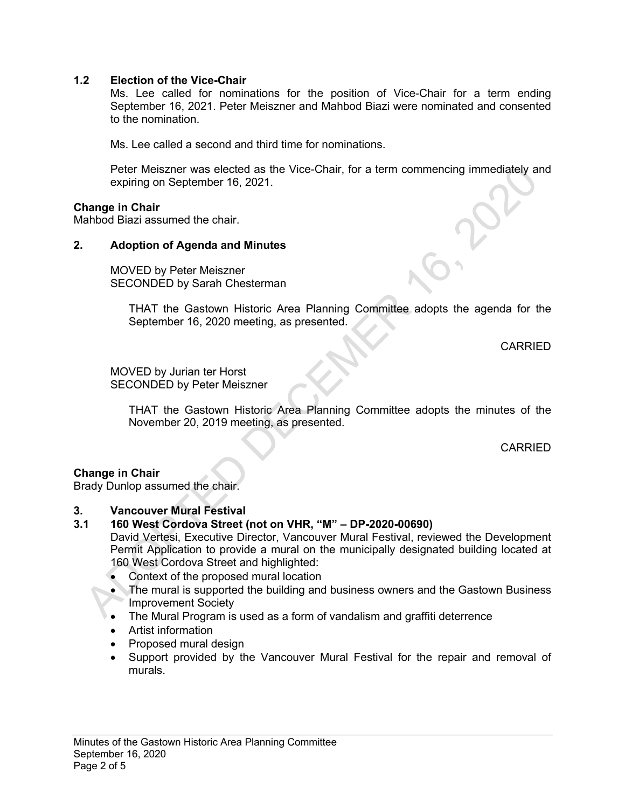## **1.2 Election of the Vice-Chair**

Ms. Lee called for nominations for the position of Vice-Chair for a term ending September 16, 2021. Peter Meiszner and Mahbod Biazi were nominated and consented to the nomination.

Ms. Lee called a second and third time for nominations.

Peter Meiszner was elected as the Vice-Chair, for a term commencing immediately and expiring on September 16, 2021.

#### **Change in Chair**

Mahbod Biazi assumed the chair.

## **2. Adoption of Agenda and Minutes**

MOVED by Peter Meiszner SECONDED by Sarah Chesterman

> THAT the Gastown Historic Area Planning Committee adopts the agenda for the September 16, 2020 meeting, as presented.

> > CARRIED

MOVED by Jurian ter Horst SECONDED by Peter Meiszner

> THAT the Gastown Historic Area Planning Committee adopts the minutes of the November 20, 2019 meeting, as presented.

> > CARRIED

# **Change in Chair**

Brady Dunlop assumed the chair.

## **3. Vancouver Mural Festival**

## **3.1 160 West Cordova Street (not on VHR, "M" – DP-2020-00690)**

David Vertesi, Executive Director, Vancouver Mural Festival, reviewed the Development Permit Application to provide a mural on the municipally designated building located at 160 West Cordova Street and highlighted:

- Context of the proposed mural location
- The mural is supported the building and business owners and the Gastown Business Improvement Society
- The Mural Program is used as a form of vandalism and graffiti deterrence
- Artist information
- Proposed mural design
- Support provided by the Vancouver Mural Festival for the repair and removal of murals.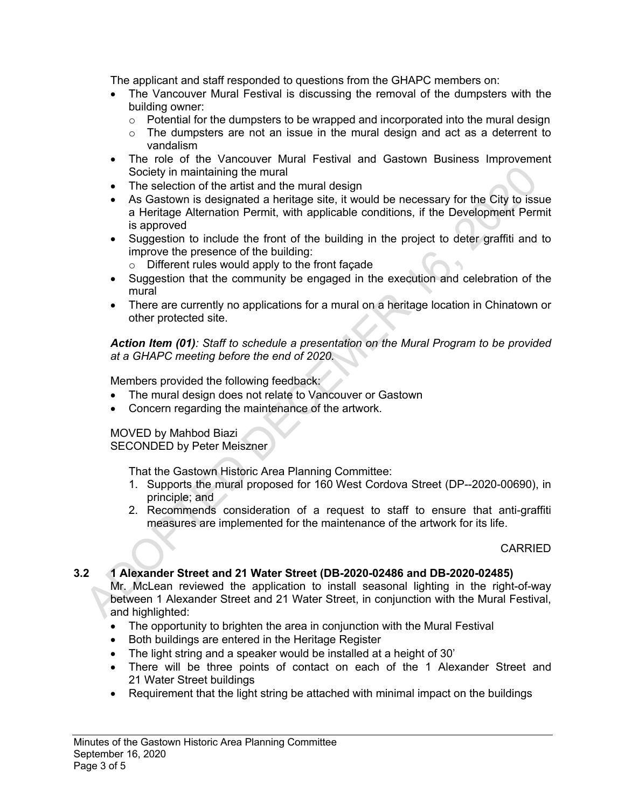The applicant and staff responded to questions from the GHAPC members on:

- The Vancouver Mural Festival is discussing the removal of the dumpsters with the building owner:
	- $\circ$  Potential for the dumpsters to be wrapped and incorporated into the mural design
	- $\circ$  The dumpsters are not an issue in the mural design and act as a deterrent to vandalism
- The role of the Vancouver Mural Festival and Gastown Business Improvement Society in maintaining the mural
- The selection of the artist and the mural design
- As Gastown is designated a heritage site, it would be necessary for the City to issue a Heritage Alternation Permit, with applicable conditions, if the Development Permit is approved
- Suggestion to include the front of the building in the project to deter graffiti and to improve the presence of the building:
	- o Different rules would apply to the front façade
- Suggestion that the community be engaged in the execution and celebration of the mural
- There are currently no applications for a mural on a heritage location in Chinatown or other protected site.

*Action Item (01): Staff to schedule a presentation on the Mural Program to be provided at a GHAPC meeting before the end of 2020.*

Members provided the following feedback:

- The mural design does not relate to Vancouver or Gastown
- Concern regarding the maintenance of the artwork.

# MOVED by Mahbod Biazi

SECONDED by Peter Meiszner

That the Gastown Historic Area Planning Committee:

- 1. Supports the mural proposed for 160 West Cordova Street (DP--2020-00690), in principle; and
- 2. Recommends consideration of a request to staff to ensure that anti-graffiti measures are implemented for the maintenance of the artwork for its life.

#### CARRIED

#### **3.2 1 Alexander Street and 21 Water Street (DB-2020-02486 and DB-2020-02485)** Mr. McLean reviewed the application to install seasonal lighting in the right-of-way between 1 Alexander Street and 21 Water Street, in conjunction with the Mural Festival,

and highlighted:

- The opportunity to brighten the area in conjunction with the Mural Festival
- Both buildings are entered in the Heritage Register
- The light string and a speaker would be installed at a height of 30'
- There will be three points of contact on each of the 1 Alexander Street and 21 Water Street buildings
- Requirement that the light string be attached with minimal impact on the buildings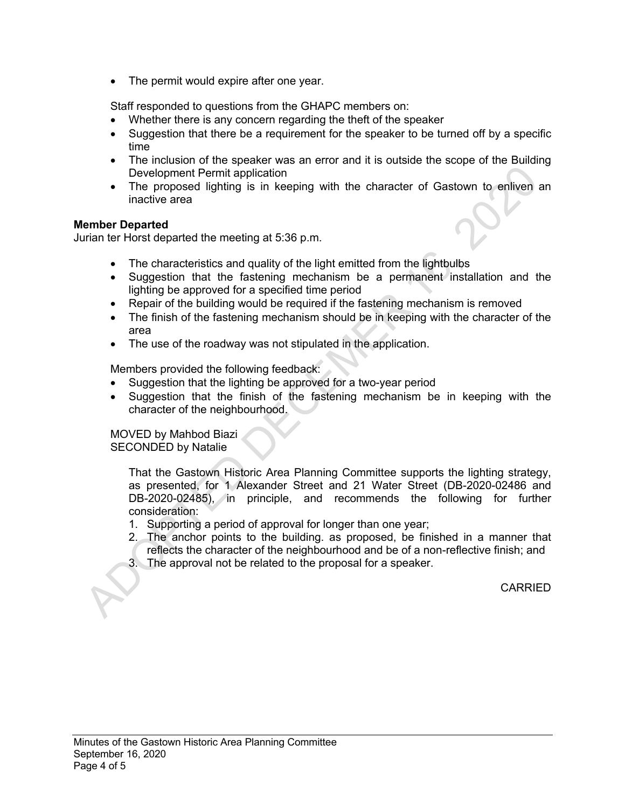• The permit would expire after one year.

Staff responded to questions from the GHAPC members on:

- Whether there is any concern regarding the theft of the speaker
- Suggestion that there be a requirement for the speaker to be turned off by a specific time
- The inclusion of the speaker was an error and it is outside the scope of the Building Development Permit application
- The proposed lighting is in keeping with the character of Gastown to enliven an inactive area

## **Member Departed**

Jurian ter Horst departed the meeting at 5:36 p.m.

- The characteristics and quality of the light emitted from the lightbulbs
- Suggestion that the fastening mechanism be a permanent installation and the lighting be approved for a specified time period
- Repair of the building would be required if the fastening mechanism is removed
- The finish of the fastening mechanism should be in keeping with the character of the area
- The use of the roadway was not stipulated in the application.

Members provided the following feedback:

- Suggestion that the lighting be approved for a two-year period
- Suggestion that the finish of the fastening mechanism be in keeping with the character of the neighbourhood.

MOVED by Mahbod Biazi SECONDED by Natalie

> That the Gastown Historic Area Planning Committee supports the lighting strategy, as presented, for 1 Alexander Street and 21 Water Street (DB-2020-02486 and DB-2020-02485), in principle, and recommends the following for further consideration:

- 1. Supporting a period of approval for longer than one year;
- 2. The anchor points to the building. as proposed, be finished in a manner that reflects the character of the neighbourhood and be of a non-reflective finish; and
- 3. The approval not be related to the proposal for a speaker.

CARRIED